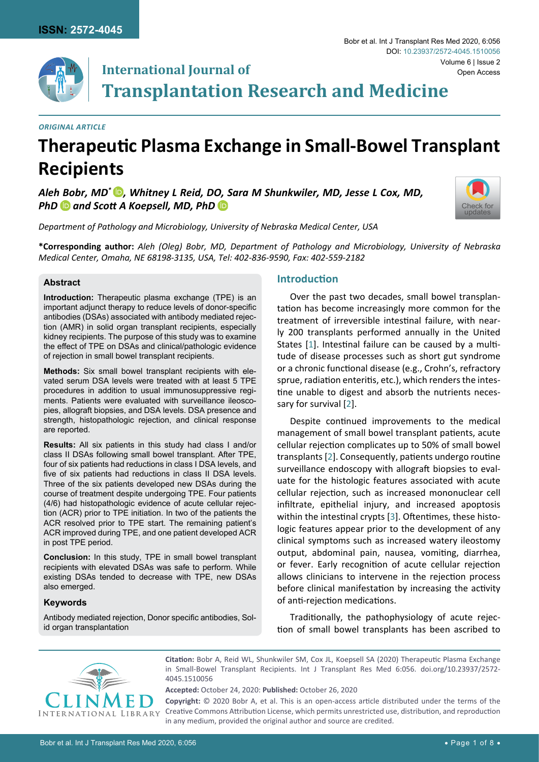

# **International Journal of Transplantation Research and Medicine**

#### *Original Article*

# **Therapeutic Plasma Exchange in Small-Bowel Transplant Recipients**

*Aleh Bobr, MD\* [,](https://orcid.org/0000-0003-1597-8071) Whitney L Reid, DO, Sara M Shunkwiler, MD, Jesse L Cox, MD, PhDand Scott A Koepsell, MD, PhD*



*Department of Pathology and Microbiology, University of Nebraska Medical Center, USA*

**\*Corresponding author:** *Aleh (Oleg) Bobr, MD, Department of Pathology and Microbiology, University of Nebraska Medical Center, Omaha, NE 68198-3135, USA, Tel: 402-836-9590, Fax: 402-559-2182*

### **Abstract**

**Introduction:** Therapeutic plasma exchange (TPE) is an important adjunct therapy to reduce levels of donor-specific antibodies (DSAs) associated with antibody mediated rejection (AMR) in solid organ transplant recipients, especially kidney recipients. The purpose of this study was to examine the effect of TPE on DSAs and clinical/pathologic evidence of rejection in small bowel transplant recipients.

**Methods:** Six small bowel transplant recipients with elevated serum DSA levels were treated with at least 5 TPE procedures in addition to usual immunosuppressive regiments. Patients were evaluated with surveillance ileoscopies, allograft biopsies, and DSA levels. DSA presence and strength, histopathologic rejection, and clinical response are reported.

**Results:** All six patients in this study had class I and/or class II DSAs following small bowel transplant. After TPE, four of six patients had reductions in class I DSA levels, and five of six patients had reductions in class II DSA levels. Three of the six patients developed new DSAs during the course of treatment despite undergoing TPE. Four patients (4/6) had histopathologic evidence of acute cellular rejection (ACR) prior to TPE initiation. In two of the patients the ACR resolved prior to TPE start. The remaining patient's ACR improved during TPE, and one patient developed ACR in post TPE period.

**Conclusion:** In this study, TPE in small bowel transplant recipients with elevated DSAs was safe to perform. While existing DSAs tended to decrease with TPE, new DSAs also emerged.

### **Keywords**

Antibody mediated rejection, Donor specific antibodies, Solid organ transplantation

### **Introduction**

Over the past two decades, small bowel transplantation has become increasingly more common for the treatment of irreversible intestinal failure, with nearly 200 transplants performed annually in the United States [[1](#page-6-0)]. Intestinal failure can be caused by a multitude of disease processes such as short gut syndrome or a chronic functional disease (e.g., Crohn's, refractory sprue, radiation enteritis, etc.), which renders the intestine unable to digest and absorb the nutrients necessary for survival [[2](#page-6-1)].

Despite continued improvements to the medical management of small bowel transplant patients, acute cellular rejection complicates up to 50% of small bowel transplants [[2](#page-6-1)]. Consequently, patients undergo routine surveillance endoscopy with allograft biopsies to evaluate for the histologic features associated with acute cellular rejection, such as increased mononuclear cell infiltrate, epithelial injury, and increased apoptosis within the intestinal crypts [\[3\]](#page-6-2). Oftentimes, these histologic features appear prior to the development of any clinical symptoms such as increased watery ileostomy output, abdominal pain, nausea, vomiting, diarrhea, or fever. Early recognition of acute cellular rejection allows clinicians to intervene in the rejection process before clinical manifestation by increasing the activity of anti-rejection medications.

Traditionally, the pathophysiology of acute rejection of small bowel transplants has been ascribed to



**Citation:** Bobr A, Reid WL, Shunkwiler SM, Cox JL, Koepsell SA (2020) Therapeutic Plasma Exchange in Small-Bowel Transplant Recipients. Int J Transplant Res Med 6:056. [doi.org/10.23937/2572-](https://doi.org/10.23937/2572-4045.1510056) [4045.1510056](https://doi.org/10.23937/2572-4045.1510056)

**Accepted:** October 24, 2020: **Published:** October 26, 2020

**Copyright:** © 2020 Bobr A, et al. This is an open-access article distributed under the terms of the Creative Commons Attribution License, which permits unrestricted use, distribution, and reproduction in any medium, provided the original author and source are credited.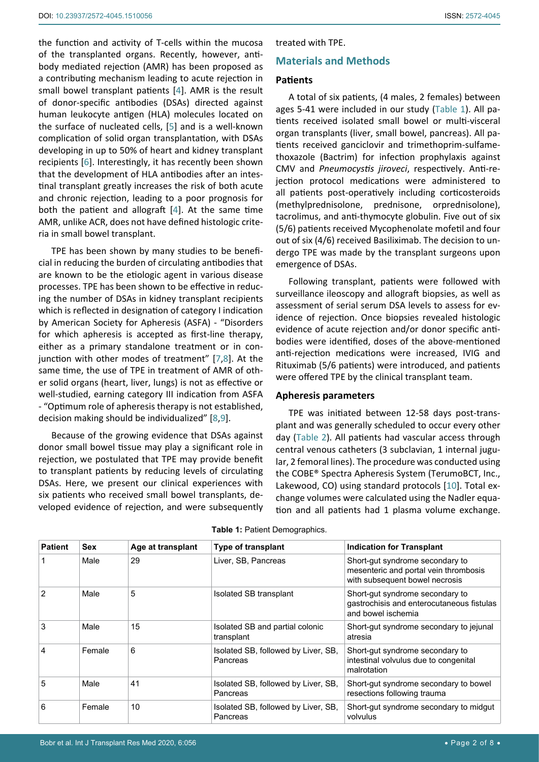the function and activity of T-cells within the mucosa of the transplanted organs. Recently, however, antibody mediated rejection (AMR) has been proposed as a contributing mechanism leading to acute rejection in small bowel transplant patients [[4](#page-6-4)]. AMR is the result of donor-specific antibodies (DSAs) directed against human leukocyte antigen (HLA) molecules located on the surface of nucleated cells, [[5](#page-6-5)] and is a well-known complication of solid organ transplantation, with DSAs developing in up to 50% of heart and kidney transplant recipients [[6](#page-6-6)]. Interestingly, it has recently been shown that the development of HLA antibodies after an intestinal transplant greatly increases the risk of both acute and chronic rejection, leading to a poor prognosis for both the patient and allograft [[4](#page-6-4)]. At the same time AMR, unlike ACR, does not have defined histologic criteria in small bowel transplant.

TPE has been shown by many studies to be beneficial in reducing the burden of circulating antibodies that are known to be the etiologic agent in various disease processes. TPE has been shown to be effective in reducing the number of DSAs in kidney transplant recipients which is reflected in designation of category I indication by American Society for Apheresis (ASFA) - "Disorders for which apheresis is accepted as first-line therapy, either as a primary standalone treatment or in conjunction with other modes of treatment" [\[7](#page-6-7),[8](#page-6-8)]. At the same time, the use of TPE in treatment of AMR of other solid organs (heart, liver, lungs) is not as effective or well-studied, earning category III indication from ASFA - "Optimum role of apheresis therapy is not established, decision making should be individualized" [\[8](#page-6-8),[9](#page-6-9)].

Because of the growing evidence that DSAs against donor small bowel tissue may play a significant role in rejection, we postulated that TPE may provide benefit to transplant patients by reducing levels of circulating DSAs. Here, we present our clinical experiences with six patients who received small bowel transplants, developed evidence of rejection, and were subsequently treated with TPE.

#### **Materials and Methods**

#### **Patients**

A total of six patients, (4 males, 2 females) between ages 5-41 were included in our study ([Table 1](#page-1-0)). All patients received isolated small bowel or multi-visceral organ transplants (liver, small bowel, pancreas). All patients received ganciclovir and trimethoprim-sulfamethoxazole (Bactrim) for infection prophylaxis against CMV and *Pneumocystis jiroveci*, respectively. Anti-rejection protocol medications were administered to all patients post-operatively including corticosteroids (methylprednisolone, prednisone, orprednisolone), tacrolimus, and anti-thymocyte globulin. Five out of six (5/6) patients received Mycophenolate mofetil and four out of six (4/6) received Basiliximab. The decision to undergo TPE was made by the transplant surgeons upon emergence of DSAs.

Following transplant, patients were followed with surveillance ileoscopy and allograft biopsies, as well as assessment of serial serum DSA levels to assess for evidence of rejection. Once biopsies revealed histologic evidence of acute rejection and/or donor specific antibodies were identified, doses of the above-mentioned anti-rejection medications were increased, IVIG and Rituximab (5/6 patients) were introduced, and patients were offered TPE by the clinical transplant team.

#### **Apheresis parameters**

TPE was initiated between 12-58 days post-transplant and was generally scheduled to occur every other day [\(Table 2](#page-2-0)). All patients had vascular access through central venous catheters (3 subclavian, 1 internal jugular, 2 femoral lines). The procedure was conducted using the COBE® Spectra Apheresis System (TerumoBCT, Inc., Lakewood, CO) using standard protocols [\[10](#page-6-3)]. Total exchange volumes were calculated using the Nadler equation and all patients had 1 plasma volume exchange.

| <b>Patient</b> | <b>Sex</b> | Age at transplant | Type of transplant                              | <b>Indication for Transplant</b>                                                                           |
|----------------|------------|-------------------|-------------------------------------------------|------------------------------------------------------------------------------------------------------------|
|                | Male       | 29                | Liver, SB, Pancreas                             | Short-gut syndrome secondary to<br>mesenteric and portal vein thrombosis<br>with subsequent bowel necrosis |
| $\mathcal{P}$  | Male       | 5                 | Isolated SB transplant                          | Short-gut syndrome secondary to<br>gastrochisis and enterocutaneous fistulas<br>and bowel ischemia         |
| 3              | Male       | 15                | Isolated SB and partial colonic<br>transplant   | Short-gut syndrome secondary to jejunal<br>atresia                                                         |
| 4              | Female     | 6                 | Isolated SB, followed by Liver, SB,<br>Pancreas | Short-gut syndrome secondary to<br>intestinal volvulus due to congenital<br>malrotation                    |
| 5              | Male       | 41                | Isolated SB, followed by Liver, SB,<br>Pancreas | Short-gut syndrome secondary to bowel<br>resections following trauma                                       |
| 6              | Female     | 10                | Isolated SB, followed by Liver, SB,<br>Pancreas | Short-gut syndrome secondary to midgut<br>volvulus                                                         |

<span id="page-1-0"></span>**Table 1:** Patient Demographics.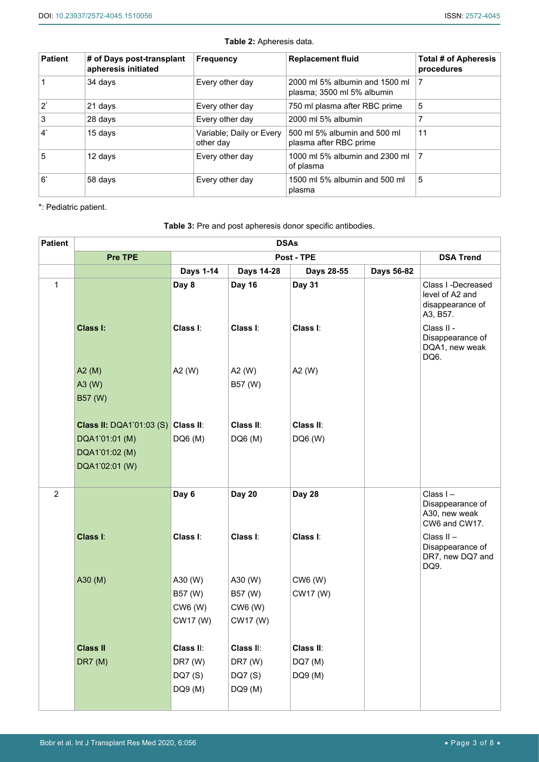| <b>Patient</b> | # of Days post-transplant<br>apheresis initiated | <b>Frequency</b>                      | <b>Replacement fluid</b>                                     | Total # of Apheresis<br>procedures |  |
|----------------|--------------------------------------------------|---------------------------------------|--------------------------------------------------------------|------------------------------------|--|
|                | 34 days                                          | Every other day                       | 2000 ml 5% albumin and 1500 ml<br>plasma; 3500 ml 5% albumin |                                    |  |
| $2^*$          | 21 days                                          | Every other day                       | 750 ml plasma after RBC prime                                | 5                                  |  |
| 3              | 28 days                                          | Every other day                       | 2000 ml 5% albumin                                           |                                    |  |
| $\mathbf{4}^*$ | 15 days                                          | Variable; Daily or Every<br>other day | 500 ml 5% albumin and 500 ml<br>plasma after RBC prime       | 11                                 |  |
| 5              | 12 days                                          | Every other day                       | 1000 ml 5% albumin and 2300 ml<br>of plasma                  | 7                                  |  |
| $6^*$          | 58 days                                          | Every other day                       | 1500 ml 5% albumin and 500 ml<br>plasma                      | 5                                  |  |

<span id="page-2-0"></span>**Table 2:** Apheresis data.

\*: Pediatric patient.

# <span id="page-2-1"></span>**Table 3:** Pre and post apheresis donor specific antibodies.

| <b>Patient</b> | <b>DSAs</b>                        |                  |               |                  |            |                                                                       |  |  |
|----------------|------------------------------------|------------------|---------------|------------------|------------|-----------------------------------------------------------------------|--|--|
|                | Pre TPE                            |                  |               | <b>DSA Trend</b> |            |                                                                       |  |  |
|                |                                    | <b>Days 1-14</b> | Days 14-28    | Days 28-55       | Days 56-82 |                                                                       |  |  |
| $\mathbf{1}$   |                                    | Day 8            | <b>Day 16</b> | <b>Day 31</b>    |            | Class I -Decreased<br>level of A2 and<br>disappearance of<br>A3, B57. |  |  |
|                | Class I:                           | Class I:         | Class I:      | Class I:         |            | Class II -<br>Disappearance of<br>DQA1, new weak<br>DQ6.              |  |  |
|                | A2(M)                              | A2 (W)           | A2 (W)        | A2 (W)           |            |                                                                       |  |  |
|                | A3 (W)                             |                  | B57 (W)       |                  |            |                                                                       |  |  |
|                | B57 (W)                            |                  |               |                  |            |                                                                       |  |  |
|                | Class II: DQA1'01:03 (S) Class II: |                  | Class II:     | Class II:        |            |                                                                       |  |  |
|                | DQA1'01:01 (M)                     | DQ6 (M)          | DQ6 (M)       | DQ6 (W)          |            |                                                                       |  |  |
|                | DQA1'01:02 (M)                     |                  |               |                  |            |                                                                       |  |  |
|                | DQA1'02:01 (W)                     |                  |               |                  |            |                                                                       |  |  |
|                |                                    |                  |               |                  |            |                                                                       |  |  |
| $\overline{2}$ |                                    | Day 6            | <b>Day 20</b> | <b>Day 28</b>    |            | Class I-<br>Disappearance of<br>A30, new weak<br>CW6 and CW17.        |  |  |
|                | Class I:                           | Class I:         | Class I:      | Class I:         |            | Class II-<br>Disappearance of<br>DR7, new DQ7 and<br>DQ9.             |  |  |
|                | A30 (M)                            | A30 (W)          | A30 (W)       | CW6 (W)          |            |                                                                       |  |  |
|                |                                    | B57 (W)          | B57 (W)       | CW17 (W)         |            |                                                                       |  |  |
|                |                                    | CW6 (W)          | CW6 (W)       |                  |            |                                                                       |  |  |
|                |                                    | CW17 (W)         | CW17 (W)      |                  |            |                                                                       |  |  |
|                | <b>Class II</b>                    | Class II:        | Class II:     | Class II:        |            |                                                                       |  |  |
|                | <b>DR7</b> (M)                     | DR7 (W)          | DR7 (W)       | DQ7 (M)          |            |                                                                       |  |  |
|                |                                    | DQ7 (S)          | DQ7 (S)       | DQ9 (M)          |            |                                                                       |  |  |
|                |                                    | DQ9 (M)          | DQ9 (M)       |                  |            |                                                                       |  |  |
|                |                                    |                  |               |                  |            |                                                                       |  |  |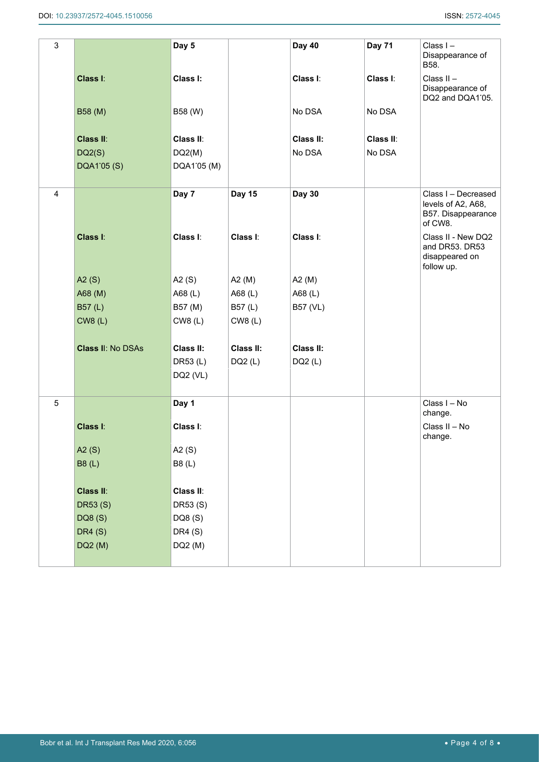| $\mathsf 3$    |                          | Day 5       |               | <b>Day 40</b> | <b>Day 71</b> | Class I-<br>Disappearance of<br>B58.                                       |
|----------------|--------------------------|-------------|---------------|---------------|---------------|----------------------------------------------------------------------------|
|                | Class I:                 | Class I:    |               | Class I:      | Class I:      | Class II-<br>Disappearance of<br>DQ2 and DQA1'05.                          |
|                | B58 (M)                  | B58 (W)     |               | No DSA        | No DSA        |                                                                            |
|                | Class II:                | Class II:   |               | Class II:     | Class II:     |                                                                            |
|                | DQ2(S)                   | DQ2(M)      |               | No DSA        | No DSA        |                                                                            |
|                | DQA1'05 (S)              | DQA1'05 (M) |               |               |               |                                                                            |
| $\overline{4}$ |                          | Day 7       | <b>Day 15</b> | <b>Day 30</b> |               | Class I - Decreased<br>levels of A2, A68,<br>B57. Disappearance<br>of CW8. |
|                | Class I:                 | Class I:    | Class I:      | Class I:      |               | Class II - New DQ2<br>and DR53. DR53<br>disappeared on<br>follow up.       |
|                | A2(S)                    | A2 $(S)$    | A2 $(M)$      | A2 $(M)$      |               |                                                                            |
|                | A68 (M)                  | A68 (L)     | A68 (L)       | A68 (L)       |               |                                                                            |
|                | B57(L)                   | B57 (M)     | B57(L)        | B57 (VL)      |               |                                                                            |
|                | <b>CW8 (L)</b>           | CWS(L)      | CW8 (L)       |               |               |                                                                            |
|                | <b>Class II: No DSAs</b> | Class II:   | Class II:     | Class II:     |               |                                                                            |
|                |                          | DR53 (L)    | DQ2(L)        | DQ2(L)        |               |                                                                            |
|                |                          | DQ2 (VL)    |               |               |               |                                                                            |
| $\sqrt{5}$     |                          | Day 1       |               |               |               | Class I - No<br>change.                                                    |
|                | Class I:                 | Class I:    |               |               |               | Class II - No<br>change.                                                   |
|                | A2(S)                    | A2 $(S)$    |               |               |               |                                                                            |
|                | B8(L)                    | B8(L)       |               |               |               |                                                                            |
|                | Class II:                | Class II:   |               |               |               |                                                                            |
|                | DR53(S)                  | DR53 (S)    |               |               |               |                                                                            |
|                | DQ8 (S)                  | DQ8 (S)     |               |               |               |                                                                            |
|                | <b>DR4 (S)</b>           | DR4(S)      |               |               |               |                                                                            |
|                | DQ2 (M)                  | DQ2 (M)     |               |               |               |                                                                            |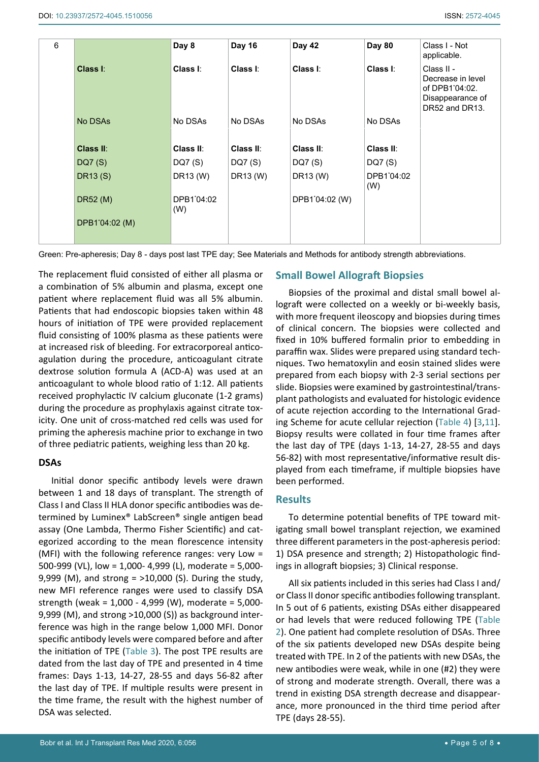| 6 |                  | Day 8             | <b>Day 16</b> | Day 42         | Day 80            | Class I - Not<br>applicable.                                                            |
|---|------------------|-------------------|---------------|----------------|-------------------|-----------------------------------------------------------------------------------------|
|   | Class I:         | Class I:          | Class I:      | Class I:       | Class I:          | Class II -<br>Decrease in level<br>of DPB1'04:02.<br>Disappearance of<br>DR52 and DR13. |
|   | No DSAs          | No DSAs           | No DSAs       | No DSAs        | No DSAs           |                                                                                         |
|   | <b>Class II:</b> | Class II:         | Class II:     | Class II:      | Class II:         |                                                                                         |
|   | DQ7(S)           | DQ7(S)            | DQ7 (S)       | DQ7(S)         | DQ7(S)            |                                                                                         |
|   | DR13(S)          | DR13 (W)          | DR13 (W)      | DR13 (W)       | DPB1'04:02<br>(W) |                                                                                         |
|   | <b>DR52 (M)</b>  | DPB1'04:02<br>(W) |               | DPB1'04:02 (W) |                   |                                                                                         |
|   | DPB1'04:02 (M)   |                   |               |                |                   |                                                                                         |

Green: Pre-apheresis; Day 8 - days post last TPE day; See Materials and Methods for antibody strength abbreviations.

The replacement fluid consisted of either all plasma or a combination of 5% albumin and plasma, except one patient where replacement fluid was all 5% albumin. Patients that had endoscopic biopsies taken within 48 hours of initiation of TPE were provided replacement fluid consisting of 100% plasma as these patients were at increased risk of bleeding. For extracorporeal anticoagulation during the procedure, anticoagulant citrate dextrose solution formula A (ACD-A) was used at an anticoagulant to whole blood ratio of 1:12. All patients received prophylactic IV calcium gluconate (1-2 grams) during the procedure as prophylaxis against citrate toxicity. One unit of cross-matched red cells was used for priming the apheresis machine prior to exchange in two of three pediatric patients, weighing less than 20 kg.

## **DSAs**

Initial donor specific antibody levels were drawn between 1 and 18 days of transplant. The strength of Class I and Class II HLA donor specific antibodies was determined by Luminex® LabScreen® single antigen bead assay (One Lambda, Thermo Fisher Scientific) and categorized according to the mean florescence intensity (MFI) with the following reference ranges: very Low = 500-999 (VL), low = 1,000- 4,999 (L), moderate = 5,000- 9,999 (M), and strong = >10,000 (S). During the study, new MFI reference ranges were used to classify DSA strength (weak = 1,000 - 4,999 (W), moderate = 5,000- 9,999 (M), and strong >10,000 (S)) as background interference was high in the range below 1,000 MFI. Donor specific antibody levels were compared before and after the initiation of TPE ([Table 3\)](#page-2-1). The post TPE results are dated from the last day of TPE and presented in 4 time frames: Days 1-13, 14-27, 28-55 and days 56-82 after the last day of TPE. If multiple results were present in the time frame, the result with the highest number of DSA was selected.

# **Small Bowel Allograft Biopsies**

Biopsies of the proximal and distal small bowel allograft were collected on a weekly or bi-weekly basis, with more frequent ileoscopy and biopsies during times of clinical concern. The biopsies were collected and fixed in 10% buffered formalin prior to embedding in paraffin wax. Slides were prepared using standard techniques. Two hematoxylin and eosin stained slides were prepared from each biopsy with 2-3 serial sections per slide. Biopsies were examined by gastrointestinal/transplant pathologists and evaluated for histologic evidence of acute rejection according to the International Grading Scheme for acute cellular rejection ([Table 4](#page-5-0)) [\[3](#page-6-2),[11\]](#page-6-10). Biopsy results were collated in four time frames after the last day of TPE (days 1-13, 14-27, 28-55 and days 56-82) with most representative/informative result displayed from each timeframe, if multiple biopsies have been performed.

# **Results**

To determine potential benefits of TPE toward mitigating small bowel transplant rejection, we examined three different parameters in the post-apheresis period: 1) DSA presence and strength; 2) Histopathologic findings in allograft biopsies; 3) Clinical response.

All six patients included in this series had Class I and/ or Class II donor specific antibodies following transplant. In 5 out of 6 patients, existing DSAs either disappeared or had levels that were reduced following TPE ([Table](#page-2-0)  [2](#page-2-0)). One patient had complete resolution of DSAs. Three of the six patients developed new DSAs despite being treated with TPE. In 2 of the patients with new DSAs, the new antibodies were weak, while in one (#2) they were of strong and moderate strength. Overall, there was a trend in existing DSA strength decrease and disappearance, more pronounced in the third time period after TPE (days 28-55).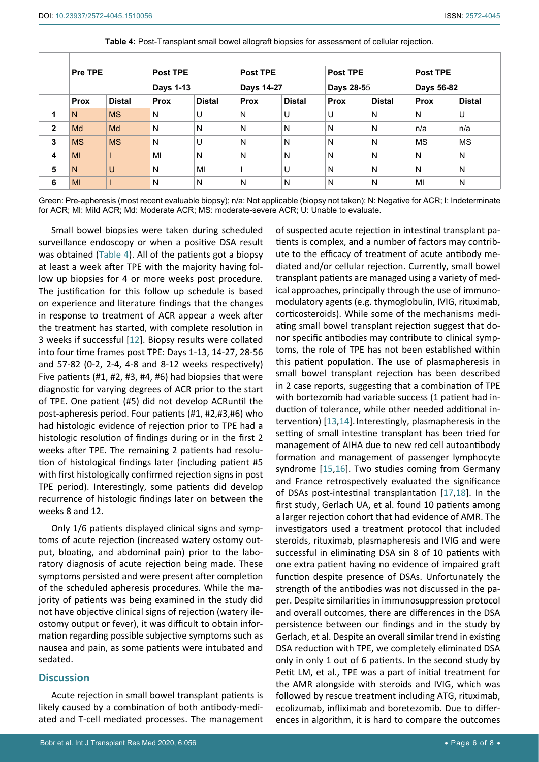|                         | Pre TPE     |               | <b>Post TPE</b><br>Days 1-13 |               | <b>Post TPE</b><br>Days 14-27 |               | Post TPE<br><b>Days 28-55</b> |               | <b>Post TPE</b><br>Days 56-82 |               |  |
|-------------------------|-------------|---------------|------------------------------|---------------|-------------------------------|---------------|-------------------------------|---------------|-------------------------------|---------------|--|
|                         |             |               |                              |               |                               |               |                               |               |                               |               |  |
|                         | <b>Prox</b> | <b>Distal</b> | <b>Prox</b>                  | <b>Distal</b> | <b>Prox</b>                   | <b>Distal</b> | <b>Prox</b>                   | <b>Distal</b> | Prox                          | <b>Distal</b> |  |
|                         | N           | <b>MS</b>     | N                            | U             | N                             | U             | U                             | N             | N                             | U             |  |
| $\mathbf{2}$            | Md          | Md            | N                            | N             | N                             | N             | N                             | N             | n/a                           | n/a           |  |
| 3                       | <b>MS</b>   | <b>MS</b>     | N                            | U             | N                             | N             | N                             | N             | <b>MS</b>                     | <b>MS</b>     |  |
| $\overline{\mathbf{4}}$ | MI          |               | MI                           | N             | N                             | N             | N                             | N             | N                             | N             |  |
| 5                       | N           | $\cup$        | N                            | MI            |                               | U             | N                             | N             | N                             | N             |  |
| 6                       | MI          |               | N                            | N             | N                             | N             | N                             | N             | MI                            | N             |  |

<span id="page-5-0"></span>**Table 4:** Post-Transplant small bowel allograft biopsies for assessment of cellular rejection.

Green: Pre-apheresis (most recent evaluable biopsy); n/a: Not applicable (biopsy not taken); N: Negative for ACR; I: Indeterminate for ACR; Ml: Mild ACR; Md: Moderate ACR; MS: moderate-severe ACR; U: Unable to evaluate.

Small bowel biopsies were taken during scheduled surveillance endoscopy or when a positive DSA result was obtained ([Table 4](#page-5-0)). All of the patients got a biopsy at least a week after TPE with the majority having follow up biopsies for 4 or more weeks post procedure. The justification for this follow up schedule is based on experience and literature findings that the changes in response to treatment of ACR appear a week after the treatment has started, with complete resolution in 3 weeks if successful [\[12](#page-6-11)]. Biopsy results were collated into four time frames post TPE: Days 1-13, 14-27, 28-56 and 57-82 (0-2, 2-4, 4-8 and 8-12 weeks respectively) Five patients (#1, #2, #3, #4, #6) had biopsies that were diagnostic for varying degrees of ACR prior to the start of TPE. One patient (#5) did not develop ACRuntil the post-apheresis period. Four patients (#1, #2,#3,#6) who had histologic evidence of rejection prior to TPE had a histologic resolution of findings during or in the first 2 weeks after TPE. The remaining 2 patients had resolution of histological findings later (including patient #5 with first histologically confirmed rejection signs in post TPE period). Interestingly, some patients did develop recurrence of histologic findings later on between the weeks 8 and 12.

Only 1/6 patients displayed clinical signs and symptoms of acute rejection (increased watery ostomy output, bloating, and abdominal pain) prior to the laboratory diagnosis of acute rejection being made. These symptoms persisted and were present after completion of the scheduled apheresis procedures. While the majority of patients was being examined in the study did not have objective clinical signs of rejection (watery ileostomy output or fever), it was difficult to obtain information regarding possible subjective symptoms such as nausea and pain, as some patients were intubated and sedated.

## **Discussion**

Acute rejection in small bowel transplant patients is likely caused by a combination of both antibody-mediated and T-cell mediated processes. The management

Bobr et al. Int J Transplant Res Med 2020, 6:056 **• Page 6 of 8 • Page 6 of 8 •** Page 6 of 8 • Page 6 of 8 • Page 6 of 8 • Page 6 of 8 • Page 6 of 8 • Page 6 of 8 • Page 6 of 8 • Page 6 of 8 • Page 6 of 8 • Page 6 of 8 • P

of suspected acute rejection in intestinal transplant patients is complex, and a number of factors may contribute to the efficacy of treatment of acute antibody mediated and/or cellular rejection. Currently, small bowel transplant patients are managed using a variety of medical approaches, principally through the use of immunomodulatory agents (e.g. thymoglobulin, IVIG, rituximab, corticosteroids). While some of the mechanisms mediating small bowel transplant rejection suggest that donor specific antibodies may contribute to clinical symptoms, the role of TPE has not been established within this patient population. The use of plasmapheresis in small bowel transplant rejection has been described in 2 case reports, suggesting that a combination of TPE with bortezomib had variable success (1 patient had induction of tolerance, while other needed additional intervention) [[13](#page-7-0),[14](#page-7-1)]. Interestingly, plasmapheresis in the setting of small intestine transplant has been tried for management of AIHA due to new red cell autoantibody formation and management of passenger lymphocyte syndrome [[15](#page-7-2),[16\]](#page-7-3). Two studies coming from Germany and France retrospectively evaluated the significance of DSAs post-intestinal transplantation [[17](#page-7-4),[18\]](#page-7-5). In the first study, Gerlach UA, et al. found 10 patients among a larger rejection cohort that had evidence of AMR. The investigators used a treatment protocol that included steroids, rituximab, plasmapheresis and IVIG and were successful in eliminating DSA sin 8 of 10 patients with one extra patient having no evidence of impaired graft function despite presence of DSAs. Unfortunately the strength of the antibodies was not discussed in the paper. Despite similarities in immunosuppression protocol and overall outcomes, there are differences in the DSA persistence between our findings and in the study by Gerlach, et al. Despite an overall similar trend in existing DSA reduction with TPE, we completely eliminated DSA only in only 1 out of 6 patients. In the second study by Petit LM, et al., TPE was a part of initial treatment for the AMR alongside with steroids and IVIG, which was followed by rescue treatment including ATG, rituximab, ecolizumab, infliximab and boretezomib. Due to differences in algorithm, it is hard to compare the outcomes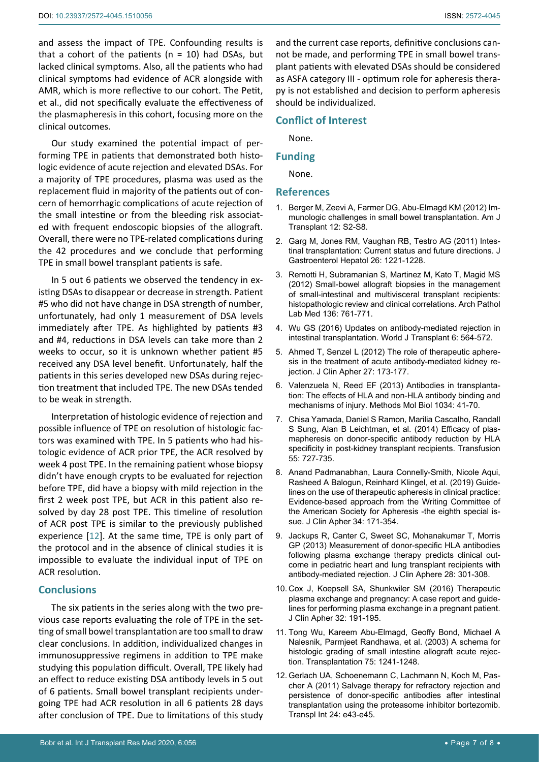and assess the impact of TPE. Confounding results is that a cohort of the patients ( $n = 10$ ) had DSAs, but lacked clinical symptoms. Also, all the patients who had clinical symptoms had evidence of ACR alongside with AMR, which is more reflective to our cohort. The Petit, et al., did not specifically evaluate the effectiveness of the plasmapheresis in this cohort, focusing more on the clinical outcomes.

Our study examined the potential impact of performing TPE in patients that demonstrated both histologic evidence of acute rejection and elevated DSAs. For a majority of TPE procedures, plasma was used as the replacement fluid in majority of the patients out of concern of hemorrhagic complications of acute rejection of the small intestine or from the bleeding risk associated with frequent endoscopic biopsies of the allograft. Overall, there were no TPE-related complications during the 42 procedures and we conclude that performing TPE in small bowel transplant patients is safe.

In 5 out 6 patients we observed the tendency in existing DSAs to disappear or decrease in strength. Patient #5 who did not have change in DSA strength of number, unfortunately, had only 1 measurement of DSA levels immediately after TPE. As highlighted by patients #3 and #4, reductions in DSA levels can take more than 2 weeks to occur, so it is unknown whether patient #5 received any DSA level benefit. Unfortunately, half the patients in this series developed new DSAs during rejection treatment that included TPE. The new DSAs tended to be weak in strength.

Interpretation of histologic evidence of rejection and possible influence of TPE on resolution of histologic factors was examined with TPE. In 5 patients who had histologic evidence of ACR prior TPE, the ACR resolved by week 4 post TPE. In the remaining patient whose biopsy didn't have enough crypts to be evaluated for rejection before TPE, did have a biopsy with mild rejection in the first 2 week post TPE, but ACR in this patient also resolved by day 28 post TPE. This timeline of resolution of ACR post TPE is similar to the previously published experience [[12\]](#page-6-11). At the same time, TPE is only part of the protocol and in the absence of clinical studies it is impossible to evaluate the individual input of TPE on ACR resolution.

## **Conclusions**

The six patients in the series along with the two previous case reports evaluating the role of TPE in the setting of small bowel transplantation are too small to draw clear conclusions. In addition, individualized changes in immunosuppressive regimens in addition to TPE make studying this population difficult. Overall, TPE likely had an effect to reduce existing DSA antibody levels in 5 out of 6 patients. Small bowel transplant recipients undergoing TPE had ACR resolution in all 6 patients 28 days after conclusion of TPE. Due to limitations of this study

and the current case reports, definitive conclusions cannot be made, and performing TPE in small bowel transplant patients with elevated DSAs should be considered as ASFA category III - optimum role for apheresis therapy is not established and decision to perform apheresis should be individualized.

# **Conflict of Interest**

None.

## **Funding**

None.

## **References**

- <span id="page-6-0"></span>1. [Berger M, Zeevi A, Farmer DG, Abu-Elmagd KM \(2012\) Im](https://pubmed.ncbi.nlm.nih.gov/23181675)[munologic challenges in small bowel transplantation. Am J](https://pubmed.ncbi.nlm.nih.gov/23181675)  [Transplant 12: S2-S8.](https://pubmed.ncbi.nlm.nih.gov/23181675)
- <span id="page-6-1"></span>2. [Garg M, Jones RM, Vaughan RB, Testro AG \(2011\) Intes](https://pubmed.ncbi.nlm.nih.gov/21595748)[tinal transplantation: Current status and future directions. J](https://pubmed.ncbi.nlm.nih.gov/21595748)  [Gastroenterol Hepatol 26: 1221-1228.](https://pubmed.ncbi.nlm.nih.gov/21595748)
- <span id="page-6-2"></span>3. [Remotti H, Subramanian S, Martinez M, Kato T, Magid MS](https://pubmed.ncbi.nlm.nih.gov/22742549)  [\(2012\) Small-bowel allograft biopsies in the management](https://pubmed.ncbi.nlm.nih.gov/22742549)  [of small-intestinal and multivisceral transplant recipients:](https://pubmed.ncbi.nlm.nih.gov/22742549)  [histopathologic review and clinical correlations. Arch Pathol](https://pubmed.ncbi.nlm.nih.gov/22742549)  [Lab Med 136: 761-771.](https://pubmed.ncbi.nlm.nih.gov/22742549)
- <span id="page-6-4"></span>4. [Wu GS \(2016\) Updates on antibody-mediated rejection in](https://pubmed.ncbi.nlm.nih.gov/27683635)  [intestinal transplantation. World J Transplant 6: 564-572.](https://pubmed.ncbi.nlm.nih.gov/27683635)
- <span id="page-6-5"></span>5. [Ahmed T, Senzel L \(2012\) The role of therapeutic aphere](https://pubmed.ncbi.nlm.nih.gov/22411078)[sis in the treatment of acute antibody-mediated kidney re](https://pubmed.ncbi.nlm.nih.gov/22411078)[jection. J Clin Apher 27: 173-177.](https://pubmed.ncbi.nlm.nih.gov/22411078)
- <span id="page-6-6"></span>6. [Valenzuela N, Reed EF \(2013\) Antibodies in transplanta](https://pubmed.ncbi.nlm.nih.gov/23775730)[tion: The effects of HLA and non-HLA antibody binding and](https://pubmed.ncbi.nlm.nih.gov/23775730)  [mechanisms of injury. Methods Mol Biol 1034: 41-70.](https://pubmed.ncbi.nlm.nih.gov/23775730)
- <span id="page-6-7"></span>7. [Chisa Yamada, Daniel S Ramon, Marilia Cascalho, Randall](https://pubmed.ncbi.nlm.nih.gov/25385678)  [S Sung, Alan B Leichtman, et al. \(2014\) Efficacy of plas](https://pubmed.ncbi.nlm.nih.gov/25385678)[mapheresis on donor-specific antibody reduction by HLA](https://pubmed.ncbi.nlm.nih.gov/25385678)  [specificity in post-kidney transplant recipients. Transfusion](https://pubmed.ncbi.nlm.nih.gov/25385678)  [55: 727-735.](https://pubmed.ncbi.nlm.nih.gov/25385678)
- <span id="page-6-8"></span>8. [Anand Padmanabhan, Laura Connelly-Smith, Nicole Aqui,](https://pubmed.ncbi.nlm.nih.gov/31180581)  [Rasheed A Balogun, Reinhard Klingel, et al. \(2019\) Guide](https://pubmed.ncbi.nlm.nih.gov/31180581)[lines on the use of therapeutic apheresis in clinical practice:](https://pubmed.ncbi.nlm.nih.gov/31180581)  [Evidence-based approach from the Writing Committee of](https://pubmed.ncbi.nlm.nih.gov/31180581)  [the American Society for Apheresis -the eighth special is](https://pubmed.ncbi.nlm.nih.gov/31180581)[sue. J Clin Apher 34: 171-354.](https://pubmed.ncbi.nlm.nih.gov/31180581)
- <span id="page-6-9"></span>9. [Jackups R, Canter C, Sweet SC, Mohanakumar T, Morris](https://pubmed.ncbi.nlm.nih.gov/23426730)  [GP \(2013\) Measurement of donor-specific HLA antibodies](https://pubmed.ncbi.nlm.nih.gov/23426730)  [following plasma exchange therapy predicts clinical out](https://pubmed.ncbi.nlm.nih.gov/23426730)[come in pediatric heart and lung transplant recipients with](https://pubmed.ncbi.nlm.nih.gov/23426730)  [antibody-mediated rejection. J Clin Aphere 28: 301-308.](https://pubmed.ncbi.nlm.nih.gov/23426730)
- <span id="page-6-3"></span>10. [Cox J, Koepsell SA, Shunkwiler SM \(2016\) Therapeutic](https://pubmed.ncbi.nlm.nih.gov/27142429)  [plasma exchange and pregnancy: A case report and guide](https://pubmed.ncbi.nlm.nih.gov/27142429)[lines for performing plasma exchange in a pregnant patient.](https://pubmed.ncbi.nlm.nih.gov/27142429)  [J Clin Apher 32: 191-195.](https://pubmed.ncbi.nlm.nih.gov/27142429)
- <span id="page-6-10"></span>11. [Tong Wu, Kareem Abu-Elmagd, Geoffy Bond, Michael A](https://pubmed.ncbi.nlm.nih.gov/12717210)  [Nalesnik, Parmjeet Randhawa, et al. \(2003\) A schema for](https://pubmed.ncbi.nlm.nih.gov/12717210)  [histologic grading of small intestine allograft acute rejec](https://pubmed.ncbi.nlm.nih.gov/12717210)[tion. Transplantation 75: 1241-1248.](https://pubmed.ncbi.nlm.nih.gov/12717210)
- <span id="page-6-11"></span>12. [Gerlach UA, Schoenemann C, Lachmann N, Koch M, Pas](https://pubmed.ncbi.nlm.nih.gov/21155900)[cher A \(2011\) Salvage therapy for refractory rejection and](https://pubmed.ncbi.nlm.nih.gov/21155900)  [persistence of donor-specific antibodies after intestinal](https://pubmed.ncbi.nlm.nih.gov/21155900)  [transplantation using the proteasome inhibitor bortezomib.](https://pubmed.ncbi.nlm.nih.gov/21155900)  [Transpl Int 24: e43-e45.](https://pubmed.ncbi.nlm.nih.gov/21155900)